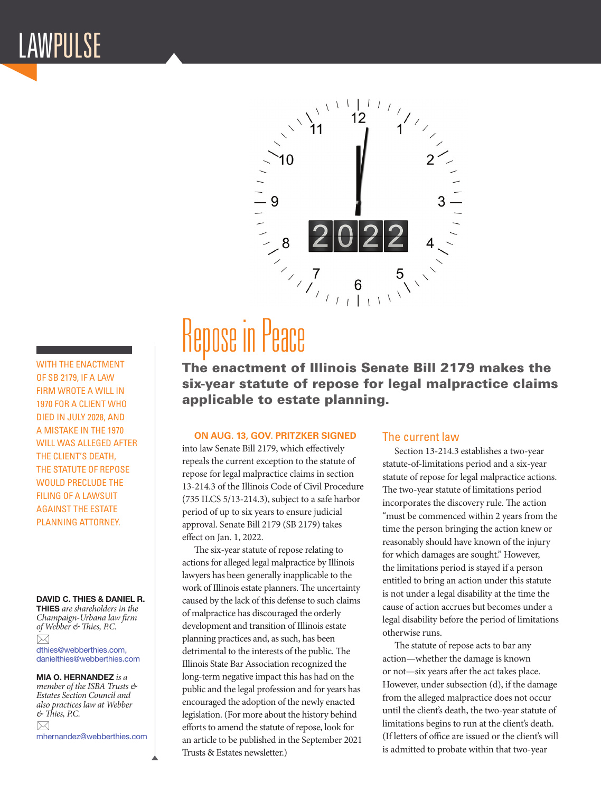# LAWPULSE

10 Repose in Peace  $6$ 

The enactment of Illinois Senate Bill 2179 makes the six-year statute of repose for legal malpractice claims applicable to estate planning.

### **ON AUG. 13, GOV. PRITZKER SIGNED**

into law Senate Bill 2179, which effectively repeals the current exception to the statute of repose for legal malpractice claims in section 13-214.3 of the Illinois Code of Civil Procedure (735 ILCS 5/13-214.3), subject to a safe harbor period of up to six years to ensure judicial approval. Senate Bill 2179 (SB 2179) takes effect on Jan. 1, 2022.

The six-year statute of repose relating to actions for alleged legal malpractice by Illinois lawyers has been generally inapplicable to the work of Illinois estate planners. The uncertainty caused by the lack of this defense to such claims of malpractice has discouraged the orderly development and transition of Illinois estate planning practices and, as such, has been detrimental to the interests of the public. The Illinois State Bar Association recognized the long-term negative impact this has had on the public and the legal profession and for years has encouraged the adoption of the newly enacted legislation. (For more about the history behind efforts to amend the statute of repose, look for an article to be published in the September 2021 Trusts & Estates newsletter.)

# The current law

Section 13-214.3 establishes a two-year statute-of-limitations period and a six-year statute of repose for legal malpractice actions. The two-year statute of limitations period incorporates the discovery rule. The action "must be commenced within 2 years from the time the person bringing the action knew or reasonably should have known of the injury for which damages are sought." However, the limitations period is stayed if a person entitled to bring an action under this statute is not under a legal disability at the time the cause of action accrues but becomes under a legal disability before the period of limitations otherwise runs.

The statute of repose acts to bar any action—whether the damage is known or not—six years after the act takes place. However, under subsection (d), if the damage from the alleged malpractice does not occur until the client's death, the two-year statute of limitations begins to run at the client's death. (If letters of office are issued or the client's will is admitted to probate within that two-year

WITH THE ENACTMENT OF SB 2179, IF A LAW FIRM WROTE A WILL IN 1970 FOR A CLIENT WHO DIED IN JULY 2028, AND A MISTAKE IN THE 1970 WILL WAS ALLEGED AFTER THE CLIENT'S DEATH, THE STATUTE OF REPOSE WOULD PRECLUDE THE FILING OF A LAWSUIT AGAINST THE ESTATE PLANNING ATTORNEY.

#### DAVID C. THIES & DANIEL R.

THIES *are shareholders in the Champaign-Urbana law firm of Webber & Thies, P.C.*   $\boxtimes$ dthies@webberthies.com, danielthies@webberthies.com

MIA O. HERNANDEZ *is a member of the ISBA Trusts & Estates Section Council and also practices law at Webber & Thies, P.C.*   $\boxtimes$ mhernandez@webberthies.com